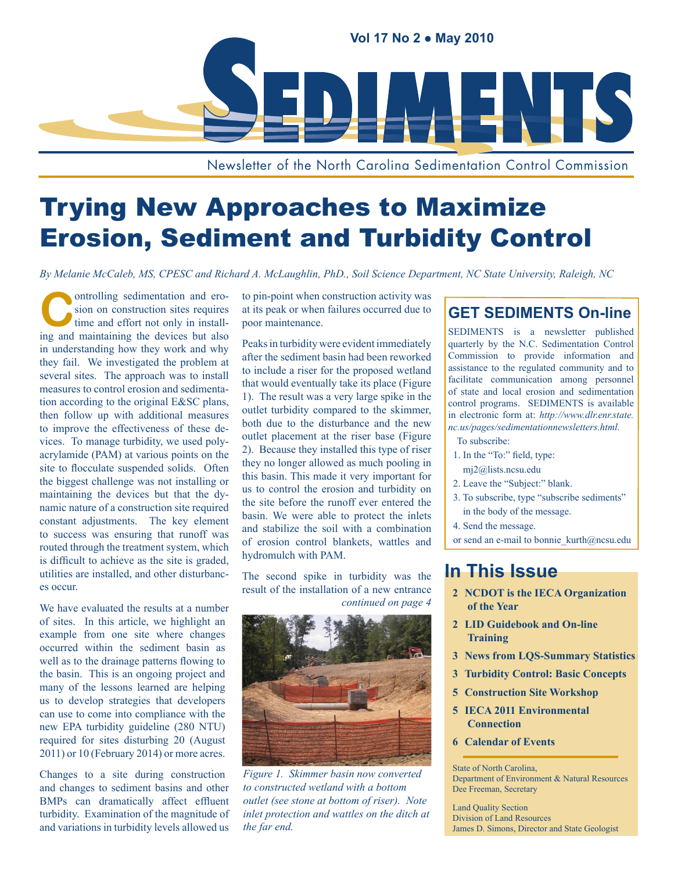

Newsletter of the North Carolina Sedimentation Control Commission

## Trying New Approaches to Maximize Erosion, Sediment and Turbidity Control

*By Melanie McCaleb, MS, CPESC and Richard A. McLaughlin, PhD., Soil Science Department, NC State University, Raleigh, NC*

**Controlling sedimentation and ero-**<br>
time and effort not only in install-<br>
time and maintaining the devices but also sion on construction sites requires ing and maintaining the devices but also in understanding how they work and why they fail. We investigated the problem at several sites. The approach was to install measures to control erosion and sedimentation according to the original E&SC plans, then follow up with additional measures to improve the effectiveness of these devices. To manage turbidity, we used polyacrylamide (PAM) at various points on the site to flocculate suspended solids. Often the biggest challenge was not installing or maintaining the devices but that the dynamic nature of a construction site required constant adjustments. The key element to success was ensuring that runoff was routed through the treatment system, which is difficult to achieve as the site is graded, utilities are installed, and other disturbances occur.

We have evaluated the results at a number of sites. In this article, we highlight an example from one site where changes occurred within the sediment basin as well as to the drainage patterns flowing to the basin. This is an ongoing project and many of the lessons learned are helping us to develop strategies that developers can use to come into compliance with the new EPA turbidity guideline (280 NTU) required for sites disturbing 20 (August 2011) or 10 (February 2014) or more acres.

Changes to a site during construction and changes to sediment basins and other BMPs can dramatically affect effluent turbidity. Examination of the magnitude of and variations in turbidity levels allowed us to pin-point when construction activity was at its peak or when failures occurred due to poor maintenance.

Peaks in turbidity were evident immediately after the sediment basin had been reworked to include a riser for the proposed wetland that would eventually take its place (Figure 1). The result was a very large spike in the outlet turbidity compared to the skimmer, both due to the disturbance and the new outlet placement at the riser base (Figure 2). Because they installed this type of riser they no longer allowed as much pooling in this basin. This made it very important for us to control the erosion and turbidity on the site before the runoff ever entered the basin. We were able to protect the inlets and stabilize the soil with a combination of erosion control blankets, wattles and hydromulch with PAM.

The second spike in turbidity was the result of the installation of a new entrance *continued on page 4*



*Figure 1. Skimmer basin now converted to constructed wetland with a bottom outlet (see stone at bottom of riser). Note inlet protection and wattles on the ditch at the far end.*

## **GET SEDIMENTS On-line**

SEDIMENTS is a newsletter published quarterly by the N.C. Sedimentation Control Commission to provide information and assistance to the regulated community and to facilitate communication among personnel of state and local erosion and sedimentation control programs. SEDIMENTS is available in electronic form at: *[http://www.dlr.enr.state.](http://www.dlr.enr.state.nc.us/pages/sedimentationnewsletters.html) [nc.us/pages/sedimentationnewsletters.html.](http://www.dlr.enr.state.nc.us/pages/sedimentationnewsletters.html)*

To subscribe:

- 1. In the "To:" field, type: mj2@lists.ncsu.edu
- 2. Leave the "Subject:" blank.
- 3. To subscribe, type "subscribe sediments" in the body of the message.
- 4. Send the message.

or send an e-mail to bonnie kurth@ncsu.edu

## **In This Issue**

- **2 [NCDOT is the IECA Organization](#page-5-0)  [of the Year](#page-5-0)**
- **2 [LID Guidebook and On-line](#page-5-0)  [Training](#page-5-0)**
- **3 [News from LQS-Summary Statistics](#page-5-0)**
- **3 [Turbidity Control: Basic Concepts](#page-5-0)**
- **5 [Construction Site Workshop](#page-5-0)**
- **5 [IECA 2011 Environmental](#page-5-0)  [Connection](#page-5-0)**
- **6 [Calendar of Events](#page-5-0)**

State of North Carolina, Department of Environment & Natural Resources Dee Freeman, Secretary

Land Quality Section Division of Land Resources James D. Simons, Director and State Geologist